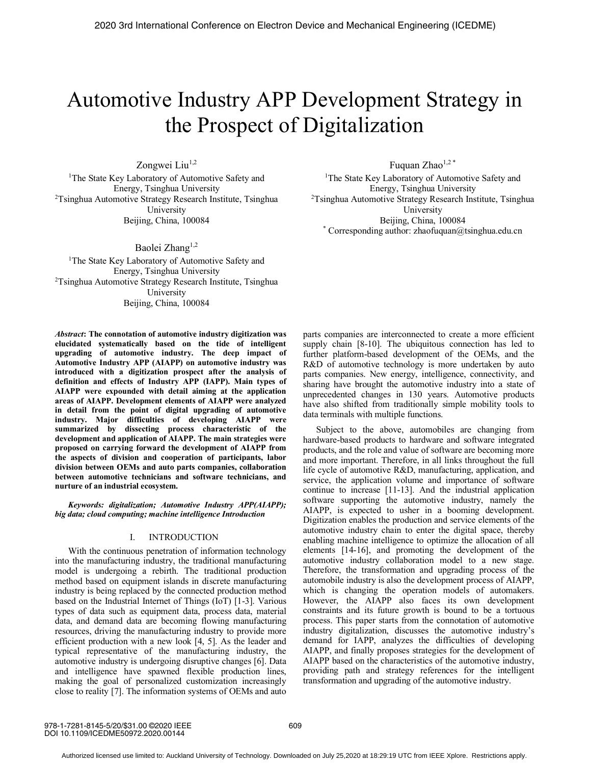# Automotive Industry APP Development Strategy in the Prospect of Digitalization

Zongwei Liu<sup>1,2</sup> <sup>1</sup>The State Key Laboratory of Automotive Safety and Energy, Tsinghua University 2 Tsinghua Automotive Strategy Research Institute, Tsinghua University Beijing, China, 100084

Baolei Zhang<sup>1,2</sup> <sup>1</sup>The State Key Laboratory of Automotive Safety and Energy, Tsinghua University <sup>2</sup>Tsinghua Automotive Strategy Research Institute, Tsinghua University Beijing, China, 100084

*Abstract***: The connotation of automotive industry digitization was elucidated systematically based on the tide of intelligent upgrading of automotive industry. The deep impact of Automotive Industry APP (AIAPP) on automotive industry was introduced with a digitization prospect after the analysis of definition and effects of Industry APP (IAPP). Main types of AIAPP were expounded with detail aiming at the application areas of AIAPP. Development elements of AIAPP were analyzed in detail from the point of digital upgrading of automotive industry. Major difficulties of developing AIAPP were summarized by dissecting process characteristic of the development and application of AIAPP. The main strategies were proposed on carrying forward the development of AIAPP from the aspects of division and cooperation of participants, labor division between OEMs and auto parts companies, collaboration between automotive technicians and software technicians, and nurture of an industrial ecosystem.**

*Keywords: digitalization; Automotive Industry APP(AIAPP); big data; cloud computing; machine intelligence Introduction*

#### I. INTRODUCTION

With the continuous penetration of information technology into the manufacturing industry, the traditional manufacturing model is undergoing a rebirth. The traditional production method based on equipment islands in discrete manufacturing industry is being replaced by the connected production method based on the Industrial Internet of Things (IoT) [1-3]. Various types of data such as equipment data, process data, material data, and demand data are becoming flowing manufacturing resources, driving the manufacturing industry to provide more efficient production with a new look [4, 5]. As the leader and typical representative of the manufacturing industry, the automotive industry is undergoing disruptive changes [6]. Data and intelligence have spawned flexible production lines, making the goal of personalized customization increasingly close to reality [7]. The information systems of OEMs and auto Fuquan Zhao<sup>1,2\*</sup>

<sup>1</sup>The State Key Laboratory of Automotive Safety and Energy, Tsinghua University 2 Tsinghua Automotive Strategy Research Institute, Tsinghua University Beijing, China, 100084 \* Corresponding author: zhaofuquan@tsinghua.edu.cn

parts companies are interconnected to create a more efficient supply chain [8-10]. The ubiquitous connection has led to further platform-based development of the OEMs, and the R&D of automotive technology is more undertaken by auto parts companies. New energy, intelligence, connectivity, and sharing have brought the automotive industry into a state of unprecedented changes in 130 years. Automotive products have also shifted from traditionally simple mobility tools to data terminals with multiple functions.

Subject to the above, automobiles are changing from hardware-based products to hardware and software integrated products, and the role and value of software are becoming more and more important. Therefore, in all links throughout the full life cycle of automotive R&D, manufacturing, application, and service, the application volume and importance of software continue to increase [11-13]. And the industrial application software supporting the automotive industry, namely the AIAPP, is expected to usher in a booming development. Digitization enables the production and service elements of the automotive industry chain to enter the digital space, thereby enabling machine intelligence to optimize the allocation of all elements [14-16], and promoting the development of the automotive industry collaboration model to a new stage. Therefore, the transformation and upgrading process of the automobile industry is also the development process of AIAPP, which is changing the operation models of automakers. However, the AIAPP also faces its own development constraints and its future growth is bound to be a tortuous process. This paper starts from the connotation of automotive industry digitalization, discusses the automotive industry's demand for IAPP, analyzes the difficulties of developing AIAPP, and finally proposes strategies for the development of AIAPP based on the characteristics of the automotive industry, providing path and strategy references for the intelligent transformation and upgrading of the automotive industry.

978-1-7281-8145-5/20/\$31.00 ©2020 IEEE DOI 10.1109/ICEDME50972.2020.00144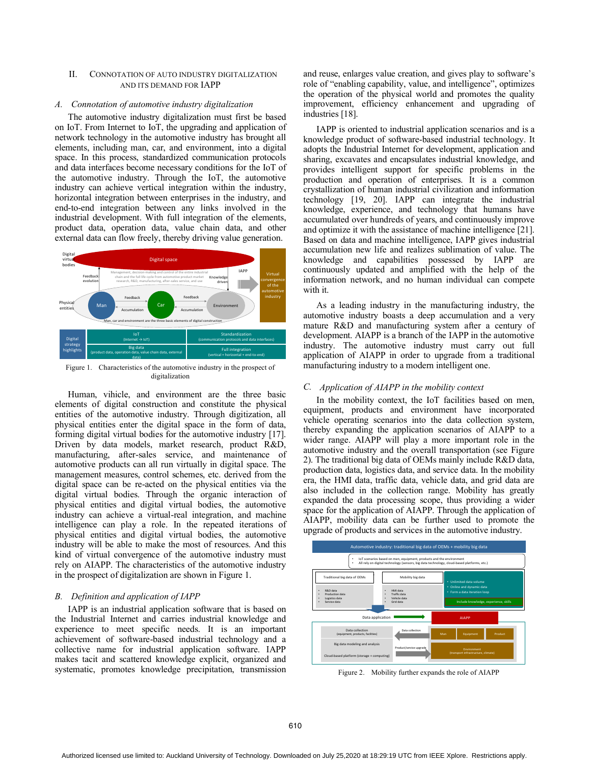## II. CONNOTATION OF AUTO INDUSTRY DIGITALIZATION AND ITS DEMAND FOR IAPP

#### *A. Connotation of automotive industry digitalization*

The automotive industry digitalization must first be based on IoT. From Internet to IoT, the upgrading and application of network technology in the automotive industry has brought all elements, including man, car, and environment, into a digital space. In this process, standardized communication protocols and data interfaces become necessary conditions for the IoT of the automotive industry. Through the IoT, the automotive industry can achieve vertical integration within the industry, horizontal integration between enterprises in the industry, and end-to-end integration between any links involved in the industrial development. With full integration of the elements, product data, operation data, value chain data, and other external data can flow freely, thereby driving value generation.



Figure 1. Characteristics of the automotive industry in the prospect of digitalization

Human, vihicle, and environment are the three basic elements of digital construction and constitute the physical entities of the automotive industry. Through digitization, all physical entities enter the digital space in the form of data, forming digital virtual bodies for the automotive industry [17]. Driven by data models, market research, product R&D, manufacturing, after-sales service, and maintenance of automotive products can all run virtually in digital space. The management measures, control schemes, etc. derived from the digital space can be re-acted on the physical entities via the digital virtual bodies. Through the organic interaction of physical entities and digital virtual bodies, the automotive industry can achieve a virtual-real integration, and machine intelligence can play a role. In the repeated iterations of physical entities and digital virtual bodies, the automotive industry will be able to make the most of resources. And this kind of virtual convergence of the automotive industry must rely on AIAPP. The characteristics of the automotive industry in the prospect of digitalization are shown in Figure 1.

#### *B. Definition and application of IAPP*

IAPP is an industrial application software that is based on the Industrial Internet and carries industrial knowledge and experience to meet specific needs. It is an important achievement of software-based industrial technology and a collective name for industrial application software. IAPP makes tacit and scattered knowledge explicit, organized and systematic, promotes knowledge precipitation, transmission and reuse, enlarges value creation, and gives play to software's role of "enabling capability, value, and intelligence", optimizes the operation of the physical world and promotes the quality improvement, efficiency enhancement and upgrading of industries [18].

IAPP is oriented to industrial application scenarios and is a knowledge product of software-based industrial technology. It adopts the Industrial Internet for development, application and sharing, excavates and encapsulates industrial knowledge, and provides intelligent support for specific problems in the production and operation of enterprises. It is a common crystallization of human industrial civilization and information technology [19, 20]. IAPP can integrate the industrial knowledge, experience, and technology that humans have accumulated over hundreds of years, and continuously improve and optimize it with the assistance of machine intelligence [21]. Based on data and machine intelligence, IAPP gives industrial accumulation new life and realizes sublimation of value. The knowledge and capabilities possessed by IAPP are continuously updated and amplified with the help of the information network, and no human individual can compete with it.

As a leading industry in the manufacturing industry, the automotive industry boasts a deep accumulation and a very mature R&D and manufacturing system after a century of development. AIAPP is a branch of the IAPP in the automotive industry. The automotive industry must carry out full application of AIAPP in order to upgrade from a traditional manufacturing industry to a modern intelligent one.

## *C. Application of AIAPP in the mobility context*

In the mobility context, the IoT facilities based on men, equipment, products and environment have incorporated vehicle operating scenarios into the data collection system, thereby expanding the application scenarios of AIAPP to a wider range. AIAPP will play a more important role in the automotive industry and the overall transportation (see Figure 2). The traditional big data of OEMs mainly include R&D data, production data, logistics data, and service data. In the mobility era, the HMI data, traffic data, vehicle data, and grid data are also included in the collection range. Mobility has greatly expanded the data processing scope, thus providing a wider space for the application of AIAPP. Through the application of AIAPP, mobility data can be further used to promote the upgrade of products and services in the automotive industry.



Figure 2. Mobility further expands the role of AIAPP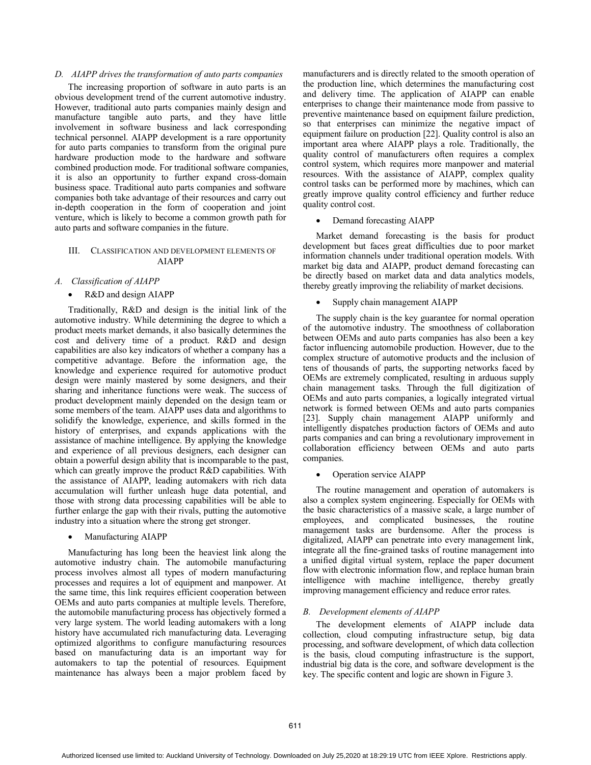# *D. AIAPP drives the transformation of auto parts companies*

The increasing proportion of software in auto parts is an obvious development trend of the current automotive industry. However, traditional auto parts companies mainly design and manufacture tangible auto parts, and they have little involvement in software business and lack corresponding technical personnel. AIAPP development is a rare opportunity for auto parts companies to transform from the original pure hardware production mode to the hardware and software combined production mode. For traditional software companies, it is also an opportunity to further expand cross-domain business space. Traditional auto parts companies and software companies both take advantage of their resources and carry out in-depth cooperation in the form of cooperation and joint venture, which is likely to become a common growth path for auto parts and software companies in the future.

# III. CLASSIFICATION AND DEVELOPMENT ELEMENTS OF AIAPP

# *A. Classification of AIAPP*

### x R&D and design AIAPP

Traditionally, R&D and design is the initial link of the automotive industry. While determining the degree to which a product meets market demands, it also basically determines the cost and delivery time of a product. R&D and design capabilities are also key indicators of whether a company has a competitive advantage. Before the information age, the knowledge and experience required for automotive product design were mainly mastered by some designers, and their sharing and inheritance functions were weak. The success of product development mainly depended on the design team or some members of the team. AIAPP uses data and algorithms to solidify the knowledge, experience, and skills formed in the history of enterprises, and expands applications with the assistance of machine intelligence. By applying the knowledge and experience of all previous designers, each designer can obtain a powerful design ability that is incomparable to the past, which can greatly improve the product R&D capabilities. With the assistance of AIAPP, leading automakers with rich data accumulation will further unleash huge data potential, and those with strong data processing capabilities will be able to further enlarge the gap with their rivals, putting the automotive industry into a situation where the strong get stronger.

• Manufacturing AIAPP

Manufacturing has long been the heaviest link along the automotive industry chain. The automobile manufacturing process involves almost all types of modern manufacturing processes and requires a lot of equipment and manpower. At the same time, this link requires efficient cooperation between OEMs and auto parts companies at multiple levels. Therefore, the automobile manufacturing process has objectively formed a very large system. The world leading automakers with a long history have accumulated rich manufacturing data. Leveraging optimized algorithms to configure manufacturing resources based on manufacturing data is an important way for automakers to tap the potential of resources. Equipment maintenance has always been a major problem faced by manufacturers and is directly related to the smooth operation of the production line, which determines the manufacturing cost and delivery time. The application of AIAPP can enable enterprises to change their maintenance mode from passive to preventive maintenance based on equipment failure prediction, so that enterprises can minimize the negative impact of equipment failure on production [22]. Quality control is also an important area where AIAPP plays a role. Traditionally, the quality control of manufacturers often requires a complex control system, which requires more manpower and material resources. With the assistance of AIAPP, complex quality control tasks can be performed more by machines, which can greatly improve quality control efficiency and further reduce quality control cost.

## • Demand forecasting AIAPP

Market demand forecasting is the basis for product development but faces great difficulties due to poor market information channels under traditional operation models. With market big data and AIAPP, product demand forecasting can be directly based on market data and data analytics models, thereby greatly improving the reliability of market decisions.

Supply chain management AIAPP

The supply chain is the key guarantee for normal operation of the automotive industry. The smoothness of collaboration between OEMs and auto parts companies has also been a key factor influencing automobile production. However, due to the complex structure of automotive products and the inclusion of tens of thousands of parts, the supporting networks faced by OEMs are extremely complicated, resulting in arduous supply chain management tasks. Through the full digitization of OEMs and auto parts companies, a logically integrated virtual network is formed between OEMs and auto parts companies [23]. Supply chain management AIAPP uniformly and intelligently dispatches production factors of OEMs and auto parts companies and can bring a revolutionary improvement in collaboration efficiency between OEMs and auto parts companies.

#### Operation service AIAPP

The routine management and operation of automakers is also a complex system engineering. Especially for OEMs with the basic characteristics of a massive scale, a large number of employees, and complicated businesses, the routine management tasks are burdensome. After the process is digitalized, AIAPP can penetrate into every management link, integrate all the fine-grained tasks of routine management into a unified digital virtual system, replace the paper document flow with electronic information flow, and replace human brain intelligence with machine intelligence, thereby greatly improving management efficiency and reduce error rates.

## *B. Development elements of AIAPP*

The development elements of AIAPP include data collection, cloud computing infrastructure setup, big data processing, and software development, of which data collection is the basis, cloud computing infrastructure is the support, industrial big data is the core, and software development is the key. The specific content and logic are shown in Figure 3.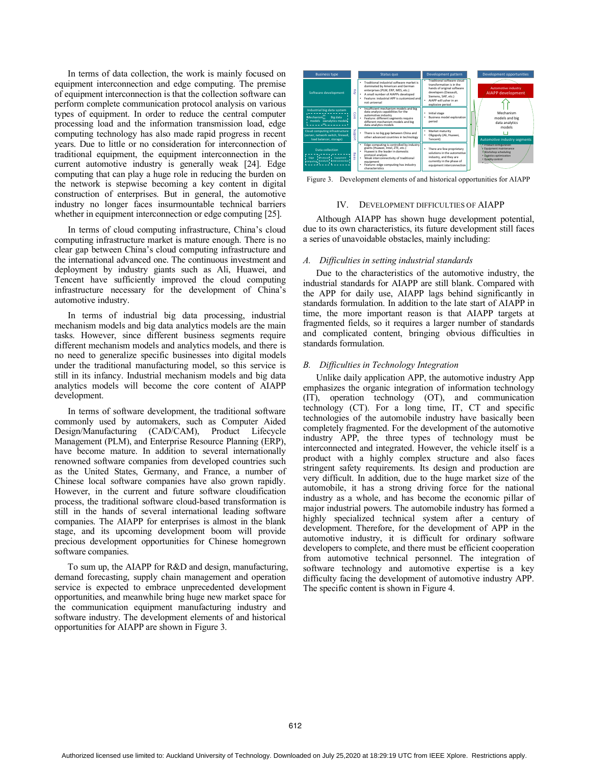In terms of data collection, the work is mainly focused on equipment interconnection and edge computing. The premise of equipment interconnection is that the collection software can perform complete communication protocol analysis on various types of equipment. In order to reduce the central computer processing load and the information transmission load, edge computing technology has also made rapid progress in recent years. Due to little or no consideration for interconnection of traditional equipment, the equipment interconnection in the current automotive industry is generally weak [24]. Edge computing that can play a huge role in reducing the burden on the network is stepwise becoming a key content in digital construction of enterprises. But in general, the automotive industry no longer faces insurmountable technical barriers whether in equipment interconnection or edge computing [25].

In terms of cloud computing infrastructure, China's cloud computing infrastructure market is mature enough. There is no clear gap between China's cloud computing infrastructure and the international advanced one. The continuous investment and deployment by industry giants such as Ali, Huawei, and Tencent have sufficiently improved the cloud computing infrastructure necessary for the development of China's automotive industry.

In terms of industrial big data processing, industrial mechanism models and big data analytics models are the main tasks. However, since different business segments require different mechanism models and analytics models, and there is no need to generalize specific businesses into digital models under the traditional manufacturing model, so this service is still in its infancy. Industrial mechanism models and big data analytics models will become the core content of AIAPP development.

In terms of software development, the traditional software commonly used by automakers, such as Computer Aided Design/Manufacturing (CAD/CAM), Product Lifecycle Management (PLM), and Enterprise Resource Planning (ERP), have become mature. In addition to several internationally renowned software companies from developed countries such as the United States, Germany, and France, a number of Chinese local software companies have also grown rapidly. However, in the current and future software cloudification process, the traditional software cloud-based transformation is still in the hands of several international leading software companies. The AIAPP for enterprises is almost in the blank stage, and its upcoming development boom will provide precious development opportunities for Chinese homegrown software companies.

To sum up, the AIAPP for R&D and design, manufacturing, demand forecasting, supply chain management and operation service is expected to embrace unprecedented development opportunities, and meanwhile bring huge new market space for the communication equipment manufacturing industry and software industry. The development elements of and historical opportunities for AIAPP are shown in Figure 3.



Figure 3. Development elements of and historical opportunities for AIAPP

## IV. DEVELOPMENT DIFFICULTIES OF AIAPP

Although AIAPP has shown huge development potential, due to its own characteristics, its future development still faces a series of unavoidable obstacles, mainly including:

# *A. Difficulties in setting industrial standards*

Due to the characteristics of the automotive industry, the industrial standards for AIAPP are still blank. Compared with the APP for daily use, AIAPP lags behind significantly in standards formulation. In addition to the late start of AIAPP in time, the more important reason is that AIAPP targets at fragmented fields, so it requires a larger number of standards and complicated content, bringing obvious difficulties in standards formulation.

## *B. Difficulties in Technology Integration*

Unlike daily application APP, the automotive industry App emphasizes the organic integration of information technology (IT), operation technology (OT), and communication technology (CT). For a long time, IT, CT and specific technologies of the automobile industry have basically been completely fragmented. For the development of the automotive industry APP, the three types of technology must be interconnected and integrated. However, the vehicle itself is a product with a highly complex structure and also faces stringent safety requirements. Its design and production are very difficult. In addition, due to the huge market size of the automobile, it has a strong driving force for the national industry as a whole, and has become the economic pillar of major industrial powers. The automobile industry has formed a highly specialized technical system after a century of development. Therefore, for the development of APP in the automotive industry, it is difficult for ordinary software developers to complete, and there must be efficient cooperation from automotive technical personnel. The integration of software technology and automotive expertise is a key difficulty facing the development of automotive industry APP. The specific content is shown in Figure 4.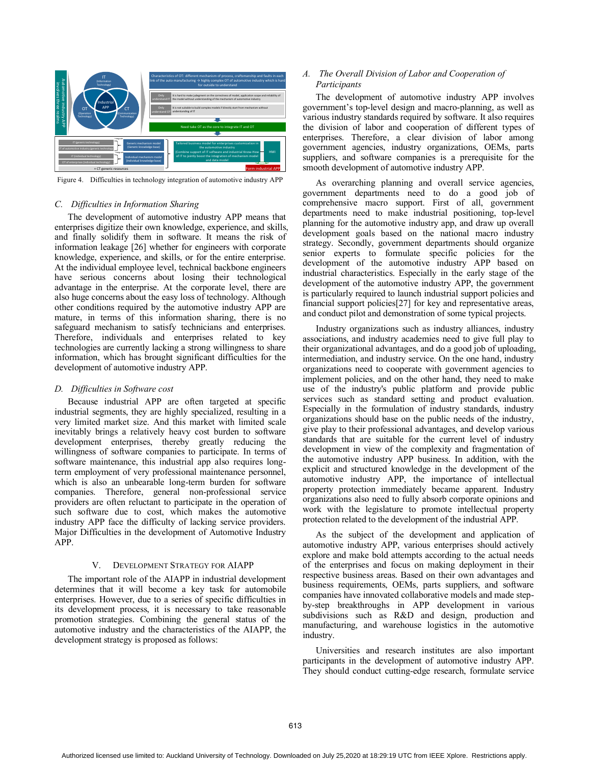

Figure 4. Difficulties in technology integration of automotive industry APP

## *C. Difficulties in Information Sharing*

The development of automotive industry APP means that enterprises digitize their own knowledge, experience, and skills, and finally solidify them in software. It means the risk of information leakage [26] whether for engineers with corporate knowledge, experience, and skills, or for the entire enterprise. At the individual employee level, technical backbone engineers have serious concerns about losing their technological advantage in the enterprise. At the corporate level, there are also huge concerns about the easy loss of technology. Although other conditions required by the automotive industry APP are mature, in terms of this information sharing, there is no safeguard mechanism to satisfy technicians and enterprises. Therefore, individuals and enterprises related to key technologies are currently lacking a strong willingness to share information, which has brought significant difficulties for the development of automotive industry APP.

#### *D. Difficulties in Software cost*

Because industrial APP are often targeted at specific industrial segments, they are highly specialized, resulting in a very limited market size. And this market with limited scale inevitably brings a relatively heavy cost burden to software development enterprises, thereby greatly reducing the willingness of software companies to participate. In terms of software maintenance, this industrial app also requires longterm employment of very professional maintenance personnel, which is also an unbearable long-term burden for software companies. Therefore, general non-professional service providers are often reluctant to participate in the operation of such software due to cost, which makes the automotive industry APP face the difficulty of lacking service providers. Major Difficulties in the development of Automotive Industry APP.

#### V. DEVELOPMENT STRATEGY FOR AIAPP

The important role of the AIAPP in industrial development determines that it will become a key task for automobile enterprises. However, due to a series of specific difficulties in its development process, it is necessary to take reasonable promotion strategies. Combining the general status of the automotive industry and the characteristics of the AIAPP, the development strategy is proposed as follows:

# *A. The Overall Division of Labor and Cooperation of Participants*

The development of automotive industry APP involves government's top-level design and macro-planning, as well as various industry standards required by software. It also requires the division of labor and cooperation of different types of enterprises. Therefore, a clear division of labor among government agencies, industry organizations, OEMs, parts suppliers, and software companies is a prerequisite for the smooth development of automotive industry APP.

As overarching planning and overall service agencies, government departments need to do a good job of comprehensive macro support. First of all, government departments need to make industrial positioning, top-level planning for the automotive industry app, and draw up overall development goals based on the national macro industry strategy. Secondly, government departments should organize senior experts to formulate specific policies for the development of the automotive industry APP based on industrial characteristics. Especially in the early stage of the development of the automotive industry APP, the government is particularly required to launch industrial support policies and financial support policies[27] for key and representative areas, and conduct pilot and demonstration of some typical projects.

Industry organizations such as industry alliances, industry associations, and industry academies need to give full play to their organizational advantages, and do a good job of uploading, intermediation, and industry service. On the one hand, industry organizations need to cooperate with government agencies to implement policies, and on the other hand, they need to make use of the industry's public platform and provide public services such as standard setting and product evaluation. Especially in the formulation of industry standards, industry organizations should base on the public needs of the industry, give play to their professional advantages, and develop various standards that are suitable for the current level of industry development in view of the complexity and fragmentation of the automotive industry APP business. In addition, with the explicit and structured knowledge in the development of the automotive industry APP, the importance of intellectual property protection immediately became apparent. Industry organizations also need to fully absorb corporate opinions and work with the legislature to promote intellectual property protection related to the development of the industrial APP.

As the subject of the development and application of automotive industry APP, various enterprises should actively explore and make bold attempts according to the actual needs of the enterprises and focus on making deployment in their respective business areas. Based on their own advantages and business requirements, OEMs, parts suppliers, and software companies have innovated collaborative models and made stepby-step breakthroughs in APP development in various subdivisions such as R&D and design, production and manufacturing, and warehouse logistics in the automotive industry.

Universities and research institutes are also important participants in the development of automotive industry APP. They should conduct cutting-edge research, formulate service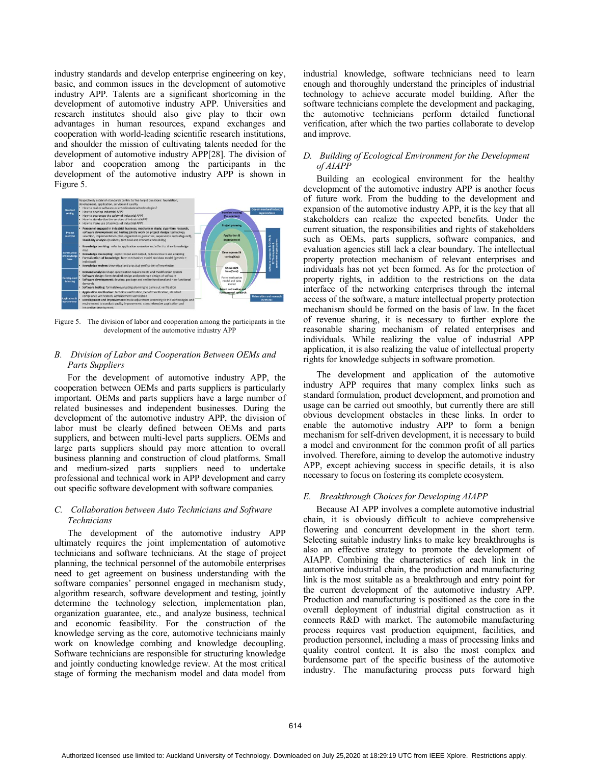industry standards and develop enterprise engineering on key, basic, and common issues in the development of automotive industry APP. Talents are a significant shortcoming in the development of automotive industry APP. Universities and research institutes should also give play to their own advantages in human resources, expand exchanges and cooperation with world-leading scientific research institutions, and shoulder the mission of cultivating talents needed for the development of automotive industry APP[28]. The division of labor and cooperation among the participants in the development of the automotive industry APP is shown in Figure 5.



Figure 5. The division of labor and cooperation among the participants in the development of the automotive industry APP

# *B. Division of Labor and Cooperation Between OEMs and Parts Suppliers*

For the development of automotive industry APP, the cooperation between OEMs and parts suppliers is particularly important. OEMs and parts suppliers have a large number of related businesses and independent businesses. During the development of the automotive industry APP, the division of labor must be clearly defined between OEMs and parts suppliers, and between multi-level parts suppliers. OEMs and large parts suppliers should pay more attention to overall business planning and construction of cloud platforms. Small and medium-sized parts suppliers need to undertake professional and technical work in APP development and carry out specific software development with software companies.

# *C. Collaboration between Auto Technicians and Software Technicians*

The development of the automotive industry APP ultimately requires the joint implementation of automotive technicians and software technicians. At the stage of project planning, the technical personnel of the automobile enterprises need to get agreement on business understanding with the software companies' personnel engaged in mechanism study, algorithm research, software development and testing, jointly determine the technology selection, implementation plan, organization guarantee, etc., and analyze business, technical and economic feasibility. For the construction of the knowledge serving as the core, automotive technicians mainly work on knowledge combing and knowledge decoupling. Software technicians are responsible for structuring knowledge and jointly conducting knowledge review. At the most critical stage of forming the mechanism model and data model from industrial knowledge, software technicians need to learn enough and thoroughly understand the principles of industrial technology to achieve accurate model building. After the software technicians complete the development and packaging, the automotive technicians perform detailed functional verification, after which the two parties collaborate to develop and improve.

# *D. Building of Ecological Environment for the Development of AIAPP*

Building an ecological environment for the healthy development of the automotive industry APP is another focus of future work. From the budding to the development and expansion of the automotive industry APP, it is the key that all stakeholders can realize the expected benefits. Under the current situation, the responsibilities and rights of stakeholders such as OEMs, parts suppliers, software companies, and evaluation agencies still lack a clear boundary. The intellectual property protection mechanism of relevant enterprises and individuals has not yet been formed. As for the protection of property rights, in addition to the restrictions on the data interface of the networking enterprises through the internal access of the software, a mature intellectual property protection mechanism should be formed on the basis of law. In the facet of revenue sharing, it is necessary to further explore the reasonable sharing mechanism of related enterprises and individuals. While realizing the value of industrial APP application, it is also realizing the value of intellectual property rights for knowledge subjects in software promotion.

The development and application of the automotive industry APP requires that many complex links such as standard formulation, product development, and promotion and usage can be carried out smoothly, but currently there are still obvious development obstacles in these links. In order to enable the automotive industry APP to form a benign mechanism for self-driven development, it is necessary to build a model and environment for the common profit of all parties involved. Therefore, aiming to develop the automotive industry APP, except achieving success in specific details, it is also necessary to focus on fostering its complete ecosystem.

# *E. Breakthrough Choices for Developing AIAPP*

Because AI APP involves a complete automotive industrial chain, it is obviously difficult to achieve comprehensive flowering and concurrent development in the short term. Selecting suitable industry links to make key breakthroughs is also an effective strategy to promote the development of AIAPP. Combining the characteristics of each link in the automotive industrial chain, the production and manufacturing link is the most suitable as a breakthrough and entry point for the current development of the automotive industry APP. Production and manufacturing is positioned as the core in the overall deployment of industrial digital construction as it connects R&D with market. The automobile manufacturing process requires vast production equipment, facilities, and production personnel, including a mass of processing links and quality control content. It is also the most complex and burdensome part of the specific business of the automotive industry. The manufacturing process puts forward high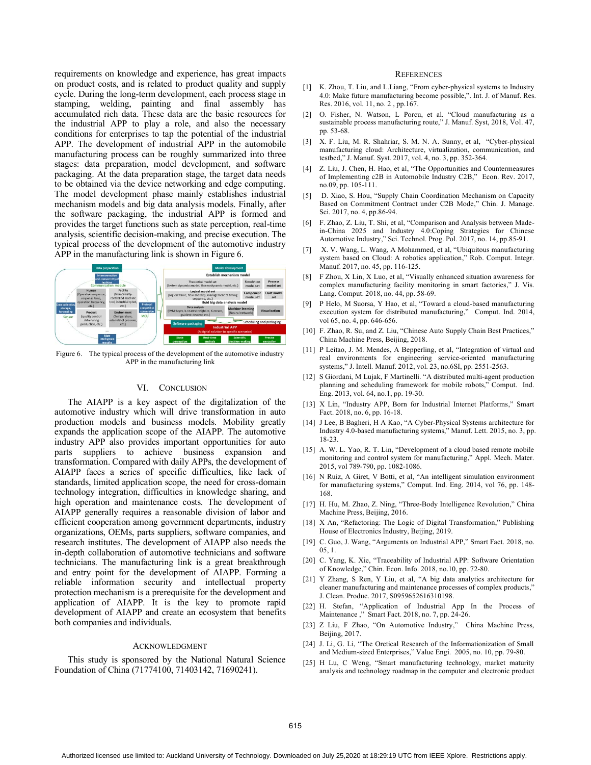requirements on knowledge and experience, has great impacts on product costs, and is related to product quality and supply cycle. During the long-term development, each process stage in stamping, welding, painting and final assembly has accumulated rich data. These data are the basic resources for the industrial APP to play a role, and also the necessary conditions for enterprises to tap the potential of the industrial APP. The development of industrial APP in the automobile manufacturing process can be roughly summarized into three stages: data preparation, model development, and software packaging. At the data preparation stage, the target data needs to be obtained via the device networking and edge computing. The model development phase mainly establishes industrial mechanism models and big data analysis models. Finally, after the software packaging, the industrial APP is formed and provides the target functions such as state perception, real-time analysis, scientific decision-making, and precise execution. The typical process of the development of the automotive industry APP in the manufacturing link is shown in Figure 6.



Figure 6. The typical process of the development of the automotive industry APP in the manufacturing link

## VI. CONCLUSION

The AIAPP is a key aspect of the digitalization of the automotive industry which will drive transformation in auto production models and business models. Mobility greatly expands the application scope of the AIAPP. The automotive industry APP also provides important opportunities for auto parts suppliers to achieve business expansion and transformation. Compared with daily APPs, the development of AIAPP faces a series of specific difficulties, like lack of standards, limited application scope, the need for cross-domain technology integration, difficulties in knowledge sharing, and high operation and maintenance costs. The development of AIAPP generally requires a reasonable division of labor and efficient cooperation among government departments, industry organizations, OEMs, parts suppliers, software companies, and research institutes. The development of AIAPP also needs the in-depth collaboration of automotive technicians and software technicians. The manufacturing link is a great breakthrough and entry point for the development of AIAPP. Forming a reliable information security and intellectual property protection mechanism is a prerequisite for the development and application of AIAPP. It is the key to promote rapid development of AIAPP and create an ecosystem that benefits both companies and individuals.

## ACKNOWLEDGMENT

This study is sponsored by the National Natural Science Foundation of China (71774100, 71403142, 71690241).

#### **REFERENCES**

- [1] K. Zhou, T. Liu, and L. Liang, "From cyber-physical systems to Industry 4.0: Make future manufacturing become possible,". Int. J. of Manuf. Res. Res. 2016, vol. 11, no. 2 , pp.167.
- [2] O. Fisher, N. Watson, L. Porcu, et al. "Cloud manufacturing as a sustainable process manufacturing route," J. Manuf. Syst, 2018, Vol. 47, pp. 53-68.
- [3] X. F. Liu, M. R. Shahriar, S. M. N. A. Sunny, et al, "Cyber-physical manufacturing cloud: Architecture, virtualization, communication, and testbed," J. Manuf. Syst. 2017, Yol. 4, no. 3, pp. 352-364.
- [4] Z. Liu, J. Chen, H. Hao, et al, "The Opportunities and Countermeasures of Implementing c2B in Automobile Industry C2B," Econ. Rev. 2017, no.09, pp. 105-111.
- [5] D. Xiao, S. Hou, "Supply Chain Coordination Mechanism on Capacity Based on Commitment Contract under C2B Mode," Chin. J. Manage. Sci. 2017, no. 4, pp.86-94.
- [6] F. Zhao, Z. Liu, T. Shi, et al, "Comparison and Analysis between Madein-China 2025 and Industry 4.0:Coping Strategies for Chinese Automotive Industry," Sci. Technol. Prog. Pol. 2017, no. 14, pp.85-91.
- [7] X. V. Wang, L. Wang, A Mohammed, et al, "Ubiquitous manufacturing system based on Cloud: A robotics application," Rob. Comput. Integr. Manuf. 2017, no. 45, pp. 116-125.
- [8] F Zhou, X Lin, X Luo, et al, "Visually enhanced situation awareness for complex manufacturing facility monitoring in smart factories," J. Vis. Lang. Comput. 2018, no. 44, pp. 58-69.
- [9] P Helo, M Suorsa, Y Hao, et al, "Toward a cloud-based manufacturing execution system for distributed manufacturing," Comput. Ind. 2014, vol 65, no. 4, pp. 646-656.
- [10] F. Zhao, R. Su, and Z. Liu, "Chinese Auto Supply Chain Best Practices," China Machine Press, Beijing, 2018.
- [11] P Leitao, J. M. Mendes, A Bepperling, et al, "Integration of virtual and real environments for engineering service-oriented manufacturing systems," J. Intell. Manuf. 2012, vol. 23, no.6SI, pp. 2551-2563.
- [12] S Giordani, M Lujak, F Martinelli. "A distributed multi-agent production planning and scheduling framework for mobile robots," Comput. Ind. Eng. 2013, vol. 64, no.1, pp. 19-30.
- [13] X Lin, "Industry APP, Born for Industrial Internet Platforms," Smart Fact. 2018, no. 6, pp. 16-18.
- [14] J Lee, B Bagheri, H A Kao, "A Cyber-Physical Systems architecture for Industry 4.0-based manufacturing systems," Manuf. Lett. 2015, no. 3, pp. 18-23.
- [15] A. W. L. Yao, R. T. Lin, "Development of a cloud based remote mobile monitoring and control system for manufacturing," Appl. Mech. Mater. 2015, vol 789-790, pp. 1082-1086.
- [16] N Ruiz, A Giret, V Botti, et al, "An intelligent simulation environment for manufacturing systems," Comput. Ind. Eng. 2014, vol 76, pp. 148- 168.
- [17] H. Hu, M. Zhao, Z. Ning, "Three-Body Intelligence Revolution," China Machine Press, Beijing, 2016.
- [18] X An, "Refactoring: The Logic of Digital Transformation," Publishing House of Electronics Industry, Beijing, 2019.
- [19] C. Guo, J. Wang, "Arguments on Industrial APP," Smart Fact. 2018, no. 05, 1.
- [20] C. Yang, K. Xie, "Traceability of Industrial APP: Software Orientation of Knowledge," Chin. Econ. Info. 2018, no.10, pp. 72-80.
- [21] Y Zhang, S Ren, Y Liu, et al, "A big data analytics architecture for cleaner manufacturing and maintenance processes of complex products," J. Clean. Produc. 2017, S0959652616310198.
- [22] H. Stefan, "Application of Industrial App In the Process of Maintenance ," Smart Fact. 2018, no. 7, pp. 24-26.
- [23] Z Liu, F Zhao, "On Automotive Industry," China Machine Press, Beijing, 2017.
- [24] J. Li, G. Li, "The Oretical Research of the Informationization of Small and Medium-sized Enterprises," Value Engi. 2005, no. 10, pp. 79-80.
- [25] H Lu, C Weng, "Smart manufacturing technology, market maturity analysis and technology roadmap in the computer and electronic product